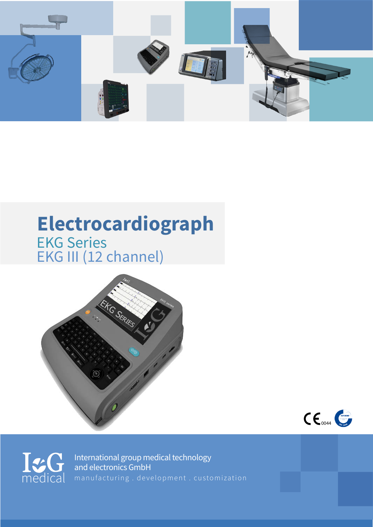

## **Electrocardiograph** EKG Series EKG III (12 channel)







International group medical technology and electronics GmbH medical manufacturing . development . customization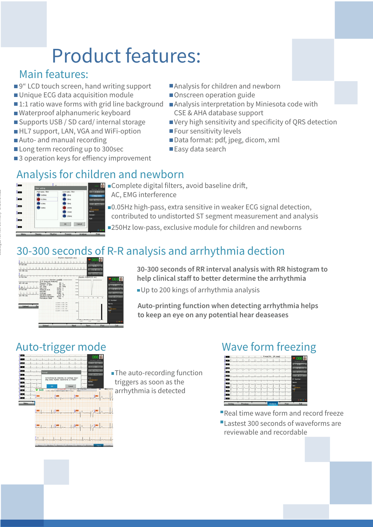# Product features:

#### Main features:

- ■9" LCD touch screen, hand writing support
- Unique ECG data acquisition module
- $\blacksquare$ 1:1 ratio wave forms with grid line background
- Waterproof alphanumeric keyboard
- Supports USB / SD card/ internal storage
- HL7 support, LAN, VGA and WiFi-option
- ■Auto- and manual recording
- Long term recording up to 300sec
- $\blacksquare$ 3 operation keys for effiency improvement
- ■Analysis for children and newborn
- Onscreen operation guide
- ■Analysis interpretation by Miniesota code with CSE & AHA database support
- Very high sensitivity and specificity of QRS detection
- **Four sensitivity levels**
- Data format: pdf, jpeg, dicom, xml
- ■Easy data search

#### Analysis for children and newborn



Catalogue ref. no.: Experimental Community - Experimental Services

Complete digital filters, avoid baseline drift, AC, EMG interference

0.05Hz high-pass, extra sensitive in weaker ECG signal detection, contributed to undistorted ST segment measurement and analysis

250Hz low-pass, exclusive module for children and newborns

#### 30-300 seconds of R-R analysis and arrhythmia dection



**30-300 seconds of RR interval analysis with RR histogram to** help clinical staff to better determine the arrhythmia

Up to 200 kings of arrhythmia analysis

**Auto-printing function when detecting arrhythmia helps to keep an eye on any potential hear deaseases**



**The auto-recording function** triggers as soon as the arrhythmia is detected

#### Auto-trigger mode Wave form freezing



Real time wave form and record freeze Lastest 300 seconds of waveforms are reviewable and recordable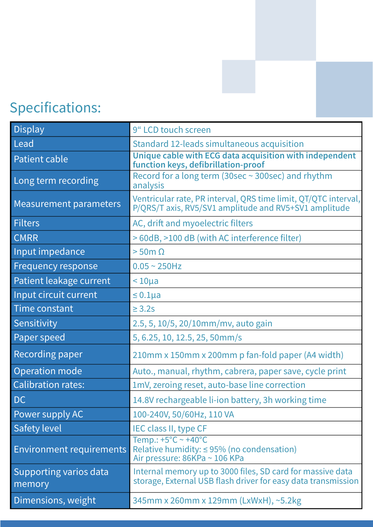# Specifications:

| <b>Display</b>                   | 9" LCD touch screen                                                                                                         |
|----------------------------------|-----------------------------------------------------------------------------------------------------------------------------|
| Lead                             | Standard 12-leads simultaneous acquisition                                                                                  |
| <b>Patient cable</b>             | Unique cable with ECG data acquisition with independent<br>function keys, defibrillation-proof                              |
| Long term recording              | Record for a long term (30sec ~ 300sec) and rhythm<br>analysis                                                              |
| <b>Measurement parameters</b>    | Ventricular rate, PR interval, QRS time limit, QT/QTC interval,<br>P/QRS/T axis, RV5/SV1 amplitude and RV5+SV1 amplitude    |
| <b>Filters</b>                   | AC, drift and myoelectric filters                                                                                           |
| <b>CMRR</b>                      | > 60dB, >100 dB (with AC interference filter)                                                                               |
| Input impedance                  | $>$ 50m $\Omega$                                                                                                            |
| <b>Frequency response</b>        | $0.05 - 250$ Hz                                                                                                             |
| Patient leakage current          | $< 10\mu a$                                                                                                                 |
| Input circuit current            | $\leq 0.1$ µa                                                                                                               |
| <b>Time constant</b>             | $\geq$ 3.2s                                                                                                                 |
| Sensitivity                      | 2.5, 5, 10/5, 20/10mm/mv, auto gain                                                                                         |
| Paper speed                      | 5, 6.25, 10, 12.5, 25, 50mm/s                                                                                               |
| Recording paper                  | 210mm x 150mm x 200mm p fan-fold paper (A4 width)                                                                           |
| Operation mode                   | Auto., manual, rhythm, cabrera, paper save, cycle print                                                                     |
| <b>Calibration rates:</b>        | 1mV, zeroing reset, auto-base line correction                                                                               |
| DC                               | 14.8V rechargeable li-ion battery, 3h working time                                                                          |
| Power supply AC                  | 100-240V, 50/60Hz, 110 VA                                                                                                   |
| <b>Safety level</b>              | IEC class II, type CF                                                                                                       |
| <b>Environment requirements</b>  | Temp.: $+5^{\circ}$ C ~ $+40^{\circ}$ C<br>Relative humidity: $\leq$ 95% (no condensation)<br>Air pressure: 86KPa ~ 106 KPa |
| Supporting varios data<br>memory | Internal memory up to 3000 files, SD card for massive data<br>storage, External USB flash driver for easy data transmission |
| Dimensions, weight               | 345mm x 260mm x 129mm (LxWxH), ~5.2kg                                                                                       |